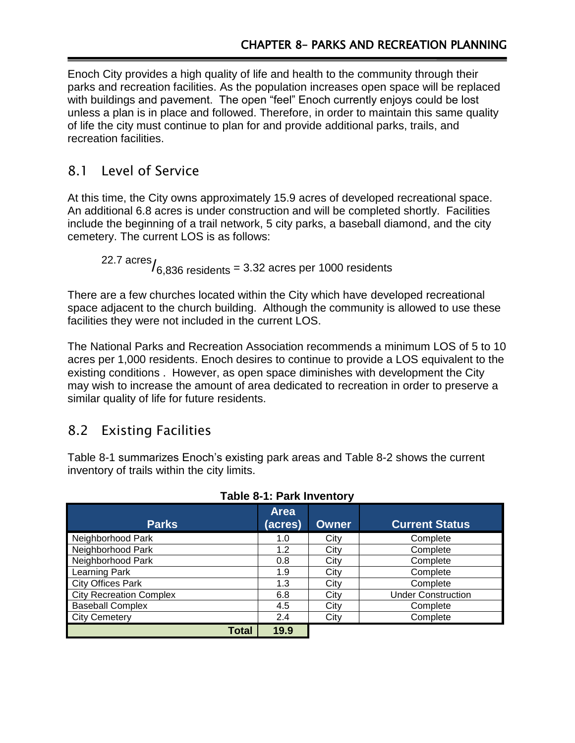Enoch City provides a high quality of life and health to the community through their parks and recreation facilities. As the population increases open space will be replaced with buildings and pavement. The open "feel" Enoch currently enjoys could be lost unless a plan is in place and followed. Therefore, in order to maintain this same quality of life the city must continue to plan for and provide additional parks, trails, and recreation facilities.

## 8.1 Level of Service

At this time, the City owns approximately 15.9 acres of developed recreational space. An additional 6.8 acres is under construction and will be completed shortly. Facilities include the beginning of a trail network, 5 city parks, a baseball diamond, and the city cemetery. The current LOS is as follows:

22.7  $\arccos$ <sub>6,836</sub> residents = 3.32 acres per 1000 residents

There are a few churches located within the City which have developed recreational space adjacent to the church building. Although the community is allowed to use these facilities they were not included in the current LOS.

The National Parks and Recreation Association recommends a minimum LOS of 5 to 10 acres per 1,000 residents. Enoch desires to continue to provide a LOS equivalent to the existing conditions . However, as open space diminishes with development the City may wish to increase the amount of area dedicated to recreation in order to preserve a similar quality of life for future residents.

# 8.2 Existing Facilities

Table 8-1 summarizes Enoch's existing park areas and Table 8-2 shows the current inventory of trails within the city limits.

| <b>Parks</b>                   | <b>Area</b><br>(acres) | Owner | <b>Current Status</b>     |  |  |  |  |
|--------------------------------|------------------------|-------|---------------------------|--|--|--|--|
| Neighborhood Park              | 1.0                    | City  | Complete                  |  |  |  |  |
| Neighborhood Park              | 1.2                    | City  | Complete                  |  |  |  |  |
| Neighborhood Park              | 0.8                    | City  | Complete                  |  |  |  |  |
| Learning Park                  | 1.9                    | City  | Complete                  |  |  |  |  |
| <b>City Offices Park</b>       | 1.3                    | City  | Complete                  |  |  |  |  |
| <b>City Recreation Complex</b> | 6.8                    | City  | <b>Under Construction</b> |  |  |  |  |
| <b>Baseball Complex</b>        | 4.5                    | City  | Complete                  |  |  |  |  |
| <b>City Cemetery</b>           | 2.4                    | City  | Complete                  |  |  |  |  |
| <b>Total</b>                   | 19.9                   |       |                           |  |  |  |  |

### **Table 8-1: Park Inventory**